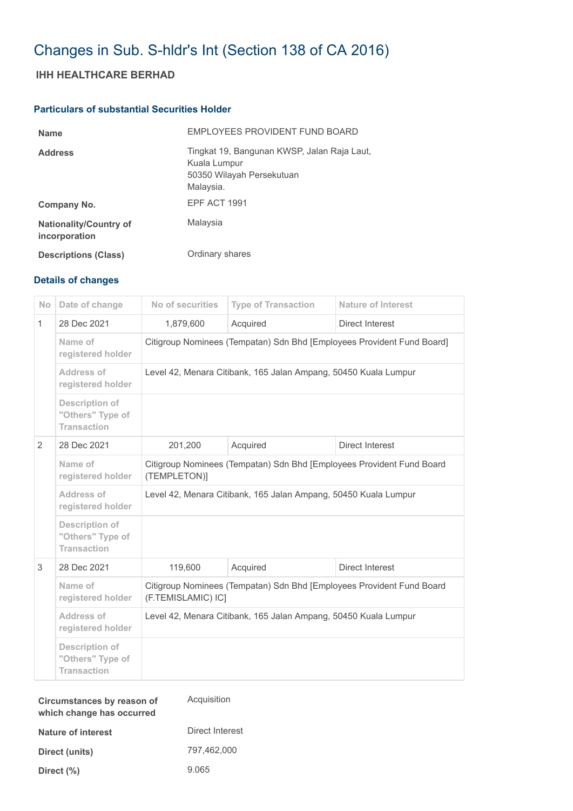# Changes in Sub. S-hldr's Int (Section 138 of CA 2016)

## **IHH HEALTHCARE BERHAD**

### **Particulars of substantial Securities Holder**

| <b>Name</b>                                    | EMPLOYEES PROVIDENT FUND BOARD                                                                        |
|------------------------------------------------|-------------------------------------------------------------------------------------------------------|
| <b>Address</b>                                 | Tingkat 19, Bangunan KWSP, Jalan Raja Laut,<br>Kuala Lumpur<br>50350 Wilayah Persekutuan<br>Malaysia. |
| Company No.                                    | EPF ACT 1991                                                                                          |
| <b>Nationality/Country of</b><br>incorporation | Malaysia                                                                                              |
| <b>Descriptions (Class)</b>                    | Ordinary shares                                                                                       |

### **Details of changes**

| No           | Date of change                                                  | No of securities                                                                            | <b>Type of Transaction</b> | <b>Nature of Interest</b> |  |
|--------------|-----------------------------------------------------------------|---------------------------------------------------------------------------------------------|----------------------------|---------------------------|--|
| $\mathbf{1}$ | 28 Dec 2021                                                     | 1,879,600                                                                                   | Acquired                   | Direct Interest           |  |
|              | Name of<br>registered holder                                    | Citigroup Nominees (Tempatan) Sdn Bhd [Employees Provident Fund Board]                      |                            |                           |  |
|              | Address of<br>registered holder                                 | Level 42, Menara Citibank, 165 Jalan Ampang, 50450 Kuala Lumpur                             |                            |                           |  |
|              | <b>Description of</b><br>"Others" Type of<br><b>Transaction</b> |                                                                                             |                            |                           |  |
| 2            | 28 Dec 2021                                                     | 201,200                                                                                     | Acquired                   | Direct Interest           |  |
|              | Name of<br>registered holder                                    | Citigroup Nominees (Tempatan) Sdn Bhd [Employees Provident Fund Board<br>(TEMPLETON)]       |                            |                           |  |
|              | Address of<br>registered holder                                 | Level 42, Menara Citibank, 165 Jalan Ampang, 50450 Kuala Lumpur                             |                            |                           |  |
|              | <b>Description of</b><br>"Others" Type of<br><b>Transaction</b> |                                                                                             |                            |                           |  |
| 3            | 28 Dec 2021                                                     | 119,600                                                                                     | Acquired                   | Direct Interest           |  |
|              | Name of<br>registered holder                                    | Citigroup Nominees (Tempatan) Sdn Bhd [Employees Provident Fund Board<br>(F.TEMISLAMIC) IC] |                            |                           |  |
|              | Address of<br>registered holder                                 | Level 42, Menara Citibank, 165 Jalan Ampang, 50450 Kuala Lumpur                             |                            |                           |  |
|              | <b>Description of</b><br>"Others" Type of<br><b>Transaction</b> |                                                                                             |                            |                           |  |

| Circumstances by reason of<br>which change has occurred | Acquisition     |  |
|---------------------------------------------------------|-----------------|--|
| Nature of interest                                      | Direct Interest |  |
| Direct (units)                                          | 797.462.000     |  |
| Direct $(\% )$                                          | 9.065           |  |